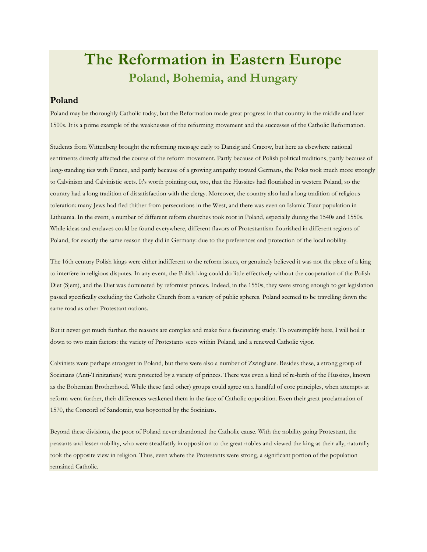# **The Reformation in Eastern Europe Poland, Bohemia, and Hungary**

## **Poland**

Poland may be thoroughly Catholic today, but the Reformation made great progress in that country in the middle and later 1500s. It is a prime example of the weaknesses of the reforming movement and the successes of the Catholic Reformation.

Students from Wittenberg brought the reforming message early to Danzig and Cracow, but here as elsewhere national sentiments directly affected the course of the reform movement. Partly because of Polish political traditions, partly because of long-standing ties with France, and partly because of a growing antipathy toward Germans, the Poles took much more strongly to Calvinism and Calvinistic sects. It's worth pointing out, too, that the Hussites had flourished in western Poland, so the country had a long tradition of dissatisfaction with the clergy. Moreover, the country also had a long tradition of religious toleration: many Jews had fled thither from persecutions in the West, and there was even an Islamic Tatar population in Lithuania. In the event, a number of different reform churches took root in Poland, especially during the 1540s and 1550s. While ideas and enclaves could be found everywhere, different flavors of Protestantism flourished in different regions of Poland, for exactly the same reason they did in Germany: due to the preferences and protection of the local nobility.

The 16th century Polish kings were either indifferent to the reform issues, or genuinely believed it was not the place of a king to interfere in religious disputes. In any event, the Polish king could do little effectively without the cooperation of the Polish Diet (Sjem), and the Diet was dominated by reformist princes. Indeed, in the 1550s, they were strong enough to get legislation passed specifically excluding the Catholic Church from a variety of public spheres. Poland seemed to be travelling down the same road as other Protestant nations.

But it never got much further. the reasons are complex and make for a fascinating study. To oversimplify here, I will boil it down to two main factors: the variety of Protestants sects within Poland, and a renewed Catholic vigor.

Calvinists were perhaps strongest in Poland, but there were also a number of Zwinglians. Besides these, a strong group of Socinians (Anti-Trinitarians) were protected by a variety of princes. There was even a kind of re-birth of the Hussites, known as the Bohemian Brotherhood. While these (and other) groups could agree on a handful of core principles, when attempts at reform went further, their differences weakened them in the face of Catholic opposition. Even their great proclamation of 1570, the Concord of Sandomir, was boycotted by the Socinians.

Beyond these divisions, the poor of Poland never abandoned the Catholic cause. With the nobility going Protestant, the peasants and lesser nobility, who were steadfastly in opposition to the great nobles and viewed the king as their ally, naturally took the opposite view in religion. Thus, even where the Protestants were strong, a significant portion of the population remained Catholic.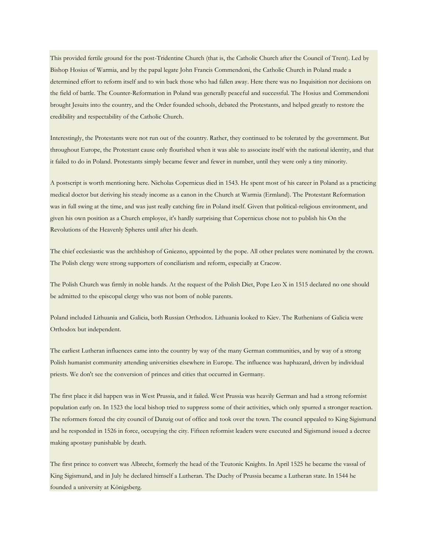This provided fertile ground for the post-Tridentine Church (that is, the Catholic Church after the Council of Trent). Led by Bishop Hosius of Warmia, and by the papal legate John Francis Commendoni, the Catholic Church in Poland made a determined effort to reform itself and to win back those who had fallen away. Here there was no Inquisition nor decisions on the field of battle. The Counter-Reformation in Poland was generally peaceful and successful. The Hosius and Commendoni brought Jesuits into the country, and the Order founded schools, debated the Protestants, and helped greatly to restore the credibility and respectability of the Catholic Church.

Interestingly, the Protestants were not run out of the country. Rather, they continued to be tolerated by the government. But throughout Europe, the Protestant cause only flourished when it was able to associate itself with the national identity, and that it failed to do in Poland. Protestants simply became fewer and fewer in number, until they were only a tiny minority.

A postscript is worth mentioning here. Nicholas Copernicus died in 1543. He spent most of his career in Poland as a practicing medical doctor but deriving his steady income as a canon in the Church at Warmia (Ermland). The Protestant Reformation was in full swing at the time, and was just really catching fire in Poland itself. Given that political-religious environment, and given his own position as a Church employee, it's hardly surprising that Copernicus chose not to publish his On the Revolutions of the Heavenly Spheres until after his death.

The chief ecclesiastic was the archbishop of Gniezno, appointed by the pope. All other prelates were nominated by the crown. The Polish clergy were strong supporters of conciliarism and reform, especially at Cracow.

The Polish Church was firmly in noble hands. At the request of the Polish Diet, Pope Leo X in 1515 declared no one should be admitted to the episcopal clergy who was not born of noble parents.

Poland included Lithuania and Galicia, both Russian Orthodox. Lithuania looked to Kiev. The Ruthenians of Galicia were Orthodox but independent.

The earliest Lutheran influences came into the country by way of the many German communities, and by way of a strong Polish humanist community attending universities elsewhere in Europe. The influence was haphazard, driven by individual priests. We don't see the conversion of princes and cities that occurred in Germany.

The first place it did happen was in West Prussia, and it failed. West Prussia was heavily German and had a strong reformist population early on. In 1523 the local bishop tried to suppress some of their activities, which only spurred a stronger reaction. The reformers forced the city council of Danzig out of office and took over the town. The council appealed to King Sigismund and he responded in 1526 in force, occupying the city. Fifteen reformist leaders were executed and Sigismund issued a decree making apostasy punishable by death.

The first prince to convert was Albrecht, formerly the head of the Teutonic Knights. In April 1525 he became the vassal of King Sigismund, and in July he declared himself a Lutheran. The Duchy of Prussia became a Lutheran state. In 1544 he founded a university at Königsberg.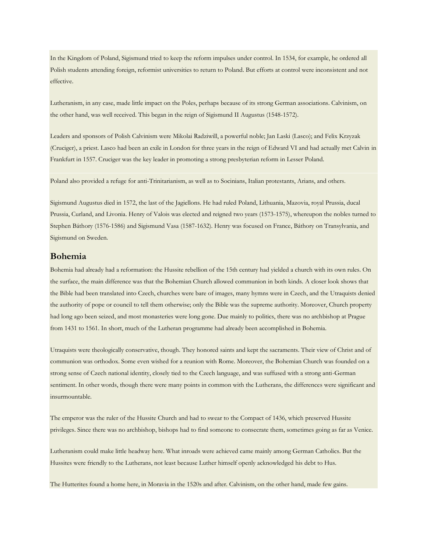In the Kingdom of Poland, Sigismund tried to keep the reform impulses under control. In 1534, for example, he ordered all Polish students attending foreign, reformist universities to return to Poland. But efforts at control were inconsistent and not effective.

Lutheranism, in any case, made little impact on the Poles, perhaps because of its strong German associations. Calvinism, on the other hand, was well received. This began in the reign of Sigismund II Augustus (1548-1572).

Leaders and sponsors of Polish Calvinism were Mikolai Radziwill, a powerful noble; Jan Laski (Lasco); and Felix Krzyzak (Cruciger), a priest. Lasco had been an exile in London for three years in the reign of Edward VI and had actually met Calvin in Frankfurt in 1557. Cruciger was the key leader in promoting a strong presbyterian reform in Lesser Poland.

Poland also provided a refuge for anti-Trinitarianism, as well as to Socinians, Italian protestants, Arians, and others.

Sigismund Augustus died in 1572, the last of the Jagiellons. He had ruled Poland, Lithuania, Mazovia, royal Prussia, ducal Prussia, Curland, and Livonia. Henry of Valois was elected and reigned two years (1573-1575), whereupon the nobles turned to Stephen Báthory (1576-1586) and Sigismund Vasa (1587-1632). Henry was focused on France, Báthory on Transylvania, and Sigismund on Sweden.

## **Bohemia**

Bohemia had already had a reformation: the Hussite rebellion of the 15th century had yielded a church with its own rules. On the surface, the main difference was that the Bohemian Church allowed communion in both kinds. A closer look shows that the Bible had been translated into Czech, churches were bare of images, many hymns were in Czech, and the Utraquists denied the authority of pope or council to tell them otherwise; only the Bible was the supreme authority. Moreover, Church property had long ago been seized, and most monasteries were long gone. Due mainly to politics, there was no archbishop at Prague from 1431 to 1561. In short, much of the Lutheran programme had already been accomplished in Bohemia.

Utraquists were theologically conservative, though. They honored saints and kept the sacraments. Their view of Christ and of communion was orthodox. Some even wished for a reunion with Rome. Moreover, the Bohemian Church was founded on a strong sense of Czech national identity, closely tied to the Czech language, and was suffused with a strong anti-German sentiment. In other words, though there were many points in common with the Lutherans, the differences were significant and insurmountable.

The emperor was the ruler of the Hussite Church and had to swear to the Compact of 1436, which preserved Hussite privileges. Since there was no archbishop, bishops had to find someone to consecrate them, sometimes going as far as Venice.

Lutheranism could make little headway here. What inroads were achieved came mainly among German Catholics. But the Hussites were friendly to the Lutherans, not least because Luther himself openly acknowledged his debt to Hus.

The Hutterites found a home here, in Moravia in the 1520s and after. Calvinism, on the other hand, made few gains.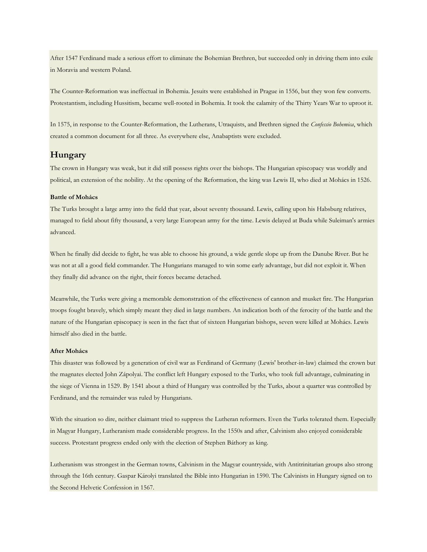After 1547 Ferdinand made a serious effort to eliminate the Bohemian Brethren, but succeeded only in driving them into exile in Moravia and western Poland.

The Counter-Reformation was ineffectual in Bohemia. Jesuits were established in Prague in 1556, but they won few converts. Protestantism, including Hussitism, became well-rooted in Bohemia. It took the calamity of the Thirty Years War to uproot it.

In 1575, in response to the Counter-Reformation, the Lutherans, Utraquists, and Brethren signed the *Confessio Bohemica*, which created a common document for all three. As everywhere else, Anabaptists were excluded.

### **Hungary**

The crown in Hungary was weak, but it did still possess rights over the bishops. The Hungarian episcopacy was worldly and political, an extension of the nobility. At the opening of the Reformation, the king was Lewis II, who died at Mohács in 1526.

#### **Battle of Mohács**

The Turks brought a large army into the field that year, about seventy thousand. Lewis, calling upon his Habsburg relatives, managed to field about fifty thousand, a very large European army for the time. Lewis delayed at Buda while Suleiman's armies advanced.

When he finally did decide to fight, he was able to choose his ground, a wide gentle slope up from the Danube River. But he was not at all a good field commander. The Hungarians managed to win some early advantage, but did not exploit it. When they finally did advance on the right, their forces became detached.

Meanwhile, the Turks were giving a memorable demonstration of the effectiveness of cannon and musket fire. The Hungarian troops fought bravely, which simply meant they died in large numbers. An indication both of the ferocity of the battle and the nature of the Hungarian episcopacy is seen in the fact that of sixteen Hungarian bishops, seven were killed at Mohács. Lewis himself also died in the battle.

#### **After Mohács**

This disaster was followed by a generation of civil war as Ferdinand of Germany (Lewis' brother-in-law) claimed the crown but the magnates elected John Zápolyai. The conflict left Hungary exposed to the Turks, who took full advantage, culminating in the siege of Vienna in 1529. By 1541 about a third of Hungary was controlled by the Turks, about a quarter was controlled by Ferdinand, and the remainder was ruled by Hungarians.

With the situation so dire, neither claimant tried to suppress the Lutheran reformers. Even the Turks tolerated them. Especially in Magyar Hungary, Lutheranism made considerable progress. In the 1550s and after, Calvinism also enjoyed considerable success. Protestant progress ended only with the election of Stephen Báthory as king.

Lutheranism was strongest in the German towns, Calvinism in the Magyar countryside, with Antitrinitarian groups also strong through the 16th century. Gaspar Károlyi translated the Bible into Hungarian in 1590. The Calvinists in Hungary signed on to the Second Helvetic Confession in 1567.